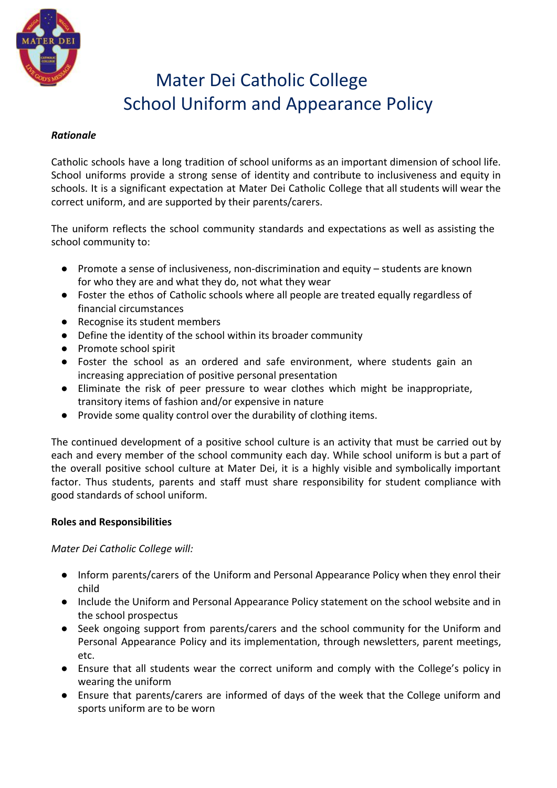

# Mater Dei Catholic College School Uniform and Appearance Policy

## *Rationale*

Catholic schools have a long tradition of school uniforms as an important dimension of school life. School uniforms provide a strong sense of identity and contribute to inclusiveness and equity in schools. It is a significant expectation at Mater Dei Catholic College that all students will wear the correct uniform, and are supported by their parents/carers.

The uniform reflects the school community standards and expectations as well as assisting the school community to:

- Promote a sense of inclusiveness, non-discrimination and equity students are known for who they are and what they do, not what they wear
- Foster the ethos of Catholic schools where all people are treated equally regardless of financial circumstances
- Recognise its student members
- Define the identity of the school within its broader community
- Promote school spirit
- Foster the school as an ordered and safe environment, where students gain an increasing appreciation of positive personal presentation
- Eliminate the risk of peer pressure to wear clothes which might be inappropriate, transitory items of fashion and/or expensive in nature
- Provide some quality control over the durability of clothing items.

The continued development of a positive school culture is an activity that must be carried out by each and every member of the school community each day. While school uniform is but a part of the overall positive school culture at Mater Dei, it is a highly visible and symbolically important factor. Thus students, parents and staff must share responsibility for student compliance with good standards of school uniform.

## **Roles and Responsibilities**

*Mater Dei Catholic College will:*

- Inform parents/carers of the Uniform and Personal Appearance Policy when they enrol their child
- Include the Uniform and Personal Appearance Policy statement on the school website and in the school prospectus
- Seek ongoing support from parents/carers and the school community for the Uniform and Personal Appearance Policy and its implementation, through newsletters, parent meetings, etc.
- Ensure that all students wear the correct uniform and comply with the College's policy in wearing the uniform
- Ensure that parents/carers are informed of days of the week that the College uniform and sports uniform are to be worn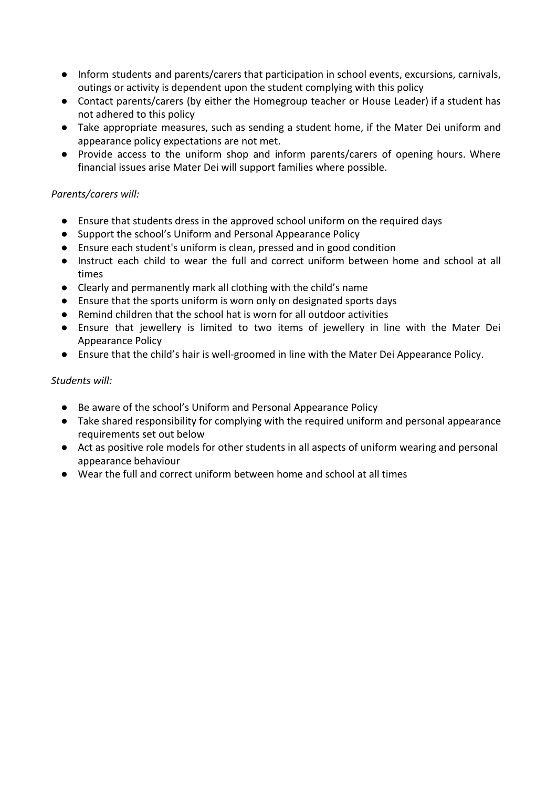- Inform students and parents/carers that participation in school events, excursions, carnivals, outings or activity is dependent upon the student complying with this policy
- Contact parents/carers (by either the Homegroup teacher or House Leader) if a student has not adhered to this policy
- Take appropriate measures, such as sending a student home, if the Mater Dei uniform and appearance policy expectations are not met.
- Provide access to the uniform shop and inform parents/carers of opening hours. Where financial issues arise Mater Dei will support families where possible.

# *Parents/carers will:*

- Ensure that students dress in the approved school uniform on the required days
- Support the school's Uniform and Personal Appearance Policy
- Ensure each student's uniform is clean, pressed and in good condition
- Instruct each child to wear the full and correct uniform between home and school at all times
- Clearly and permanently mark all clothing with the child's name
- Ensure that the sports uniform is worn only on designated sports days
- Remind children that the school hat is worn for all outdoor activities
- Ensure that jewellery is limited to two items of jewellery in line with the Mater Dei Appearance Policy
- Ensure that the child's hair is well-groomed in line with the Mater Dei Appearance Policy.

## *Students will:*

- Be aware of the school's Uniform and Personal Appearance Policy
- Take shared responsibility for complying with the required uniform and personal appearance requirements set out below
- Act as positive role models for other students in all aspects of uniform wearing and personal appearance behaviour
- Wear the full and correct uniform between home and school at all times